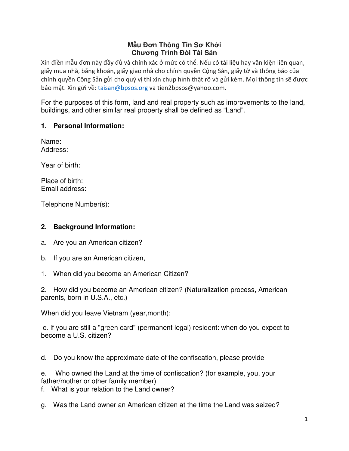## **Mẫu Đơn Thông Tin Sơ Khởi Chương Trình Đòi Tài Sản**

Xin điền mẫu đơn này đầy đủ và chính xác ở mức có thể. Nếu có tài liệu hay văn kiện liên quan, giấy mua nhà, bằng khoán, giấy giao nhà cho chính quyền Cộng Sản, giấy tờ và thông báo của chính quyền Cộng Sản gửi cho quý vị thì xin chụp hình thật rõ và gửi kèm. Mọi thông tin sẽ được bảo mật. Xin gửi về: taisan@bpsos.org va tien2bpsos@yahoo.com.

For the purposes of this form, land and real property such as improvements to the land, buildings, and other similar real property shall be defined as "Land".

## **1. Personal Information:**

Name: Address:

Year of birth:

Place of birth: Email address:

Telephone Number(s):

## **2. Background Information:**

- a. Are you an American citizen?
- b. If you are an American citizen,
- 1. When did you become an American Citizen?

2. How did you become an American citizen? (Naturalization process, American parents, born in U.S.A., etc.)

When did you leave Vietnam (year,month):

 c. If you are still a "green card" (permanent legal) resident: when do you expect to become a U.S. citizen?

d. Do you know the approximate date of the confiscation, please provide

e. Who owned the Land at the time of confiscation? (for example, you, your father/mother or other family member)

f. What is your relation to the Land owner?

g. Was the Land owner an American citizen at the time the Land was seized?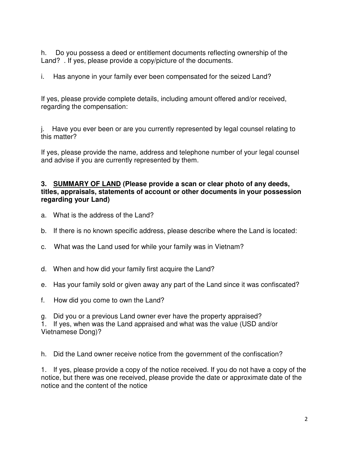h. Do you possess a deed or entitlement documents reflecting ownership of the Land? . If yes, please provide a copy/picture of the documents.

i. Has anyone in your family ever been compensated for the seized Land?

If yes, please provide complete details, including amount offered and/or received, regarding the compensation:

j. Have you ever been or are you currently represented by legal counsel relating to this matter?

If yes, please provide the name, address and telephone number of your legal counsel and advise if you are currently represented by them.

## **3. SUMMARY OF LAND (Please provide a scan or clear photo of any deeds, titles, appraisals, statements of account or other documents in your possession regarding your Land)**

- a. What is the address of the Land?
- b. If there is no known specific address, please describe where the Land is located:
- c. What was the Land used for while your family was in Vietnam?
- d. When and how did your family first acquire the Land?
- e. Has your family sold or given away any part of the Land since it was confiscated?
- f. How did you come to own the Land?
- g. Did you or a previous Land owner ever have the property appraised?

1. If yes, when was the Land appraised and what was the value (USD and/or Vietnamese Dong)?

h. Did the Land owner receive notice from the government of the confiscation?

1. If yes, please provide a copy of the notice received. If you do not have a copy of the notice, but there was one received, please provide the date or approximate date of the notice and the content of the notice